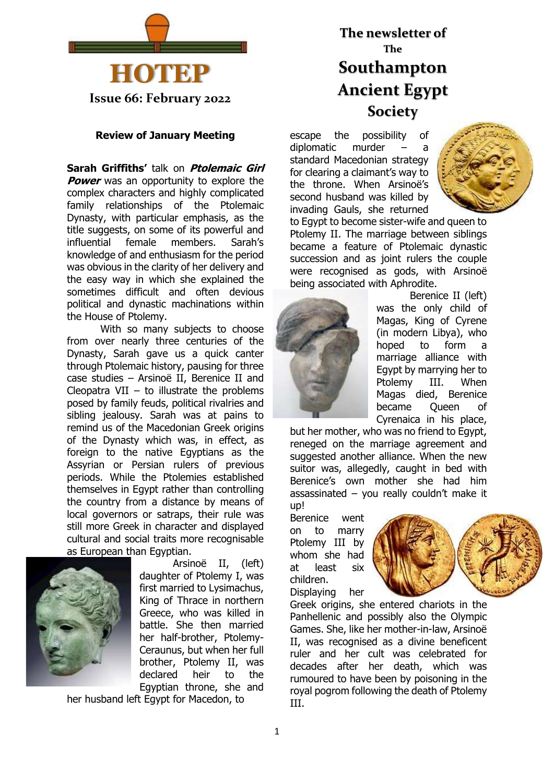

#### **Review of January Meeting**

**Sarah Griffiths'** talk on **Ptolemaic Girl Power** was an opportunity to explore the complex characters and highly complicated family relationships of the Ptolemaic Dynasty, with particular emphasis, as the title suggests, on some of its powerful and influential female members. Sarah's knowledge of and enthusiasm for the period was obvious in the clarity of her delivery and the easy way in which she explained the sometimes difficult and often devious political and dynastic machinations within the House of Ptolemy.

With so many subjects to choose from over nearly three centuries of the Dynasty, Sarah gave us a quick canter through Ptolemaic history, pausing for three case studies – Arsinoё II, Berenice II and Cleopatra VII – to illustrate the problems posed by family feuds, political rivalries and sibling jealousy. Sarah was at pains to remind us of the Macedonian Greek origins of the Dynasty which was, in effect, as foreign to the native Egyptians as the Assyrian or Persian rulers of previous periods. While the Ptolemies established themselves in Egypt rather than controlling the country from a distance by means of local governors or satraps, their rule was still more Greek in character and displayed cultural and social traits more recognisable as European than Egyptian.



Arsinoë II, (left) daughter of Ptolemy I, was first married to Lysimachus, King of Thrace in northern Greece, who was killed in battle. She then married her half-brother, Ptolemy-Ceraunus, but when her full brother, Ptolemy II, was declared heir to the Egyptian throne, she and

her husband left Egypt for Macedon, to

# **The newsletter of The Southampton Ancient Egypt Society**

escape the possibility of diplomatic murder – a standard Macedonian strategy for clearing a claimant's way to the throne. When Arsinoë's second husband was killed by invading Gauls, she returned



to Egypt to become sister-wife and queen to Ptolemy II. The marriage between siblings became a feature of Ptolemaic dynastic succession and as joint rulers the couple were recognised as gods, with Arsinoë being associated with Aphrodite.



Berenice II (left) was the only child of Magas, King of Cyrene (in modern Libya), who hoped to form a marriage alliance with Egypt by marrying her to Ptolemy III. When Magas died, Berenice became Queen of Cyrenaica in his place,

but her mother, who was no friend to Egypt, reneged on the marriage agreement and suggested another alliance. When the new suitor was, allegedly, caught in bed with Berenice's own mother she had him assassinated – you really couldn't make it up!

Berenice went on to marry Ptolemy III by whom she had at least six children. Displaying her



Greek origins, she entered chariots in the Panhellenic and possibly also the Olympic Games. She, like her mother-in-law, Arsinoë II, was recognised as a divine beneficent ruler and her cult was celebrated for decades after her death, which was rumoured to have been by poisoning in the royal pogrom following the death of Ptolemy III.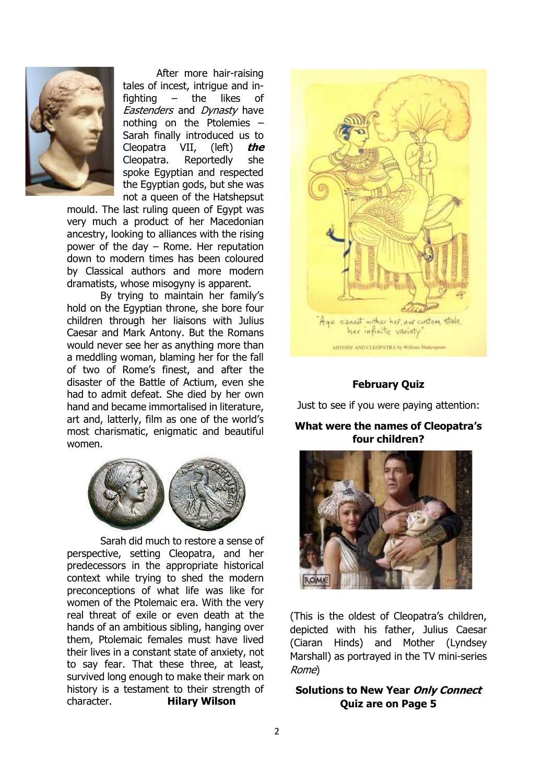

After more hair-raising tales of incest, intrigue and infighting – the likes of Eastenders and Dynasty have nothing on the Ptolemies – Sarah finally introduced us to Cleopatra VII, (left) **the** Cleopatra. Reportedly she spoke Egyptian and respected the Egyptian gods, but she was not a queen of the Hatshepsut

mould. The last ruling queen of Egypt was very much a product of her Macedonian ancestry, looking to alliances with the rising power of the day – Rome. Her reputation down to modern times has been coloured by Classical authors and more modern dramatists, whose misogyny is apparent.

By trying to maintain her family's hold on the Egyptian throne, she bore four children through her liaisons with Julius Caesar and Mark Antony. But the Romans would never see her as anything more than a meddling woman, blaming her for the fall of two of Rome's finest, and after the disaster of the Battle of Actium, even she had to admit defeat. She died by her own hand and became immortalised in literature, art and, latterly, film as one of the world's most charismatic, enigmatic and beautiful women.



Sarah did much to restore a sense of perspective, setting Cleopatra, and her predecessors in the appropriate historical context while trying to shed the modern preconceptions of what life was like for women of the Ptolemaic era. With the very real threat of exile or even death at the hands of an ambitious sibling, hanging over them, Ptolemaic females must have lived their lives in a constant state of anxiety, not to say fear. That these three, at least, survived long enough to make their mark on history is a testament to their strength of character. **Hilary Wilson**



# **February Quiz**

Just to see if you were paying attention:

**What were the names of Cleopatra's four children?**



(This is the oldest of Cleopatra's children, depicted with his father, Julius Caesar (Ciaran Hinds) and Mother (Lyndsey Marshall) as portrayed in the TV mini-series Rome)

**Solutions to New Year Only Connect Quiz are on Page 5**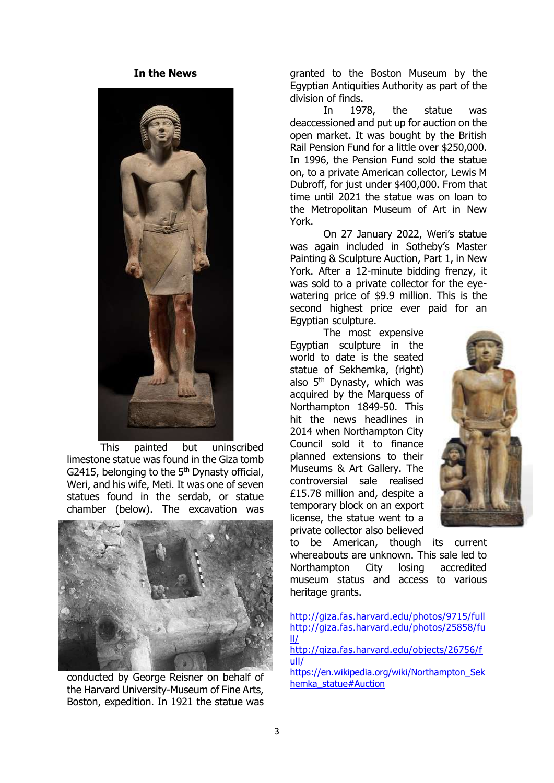#### **In the News**



This painted but uninscribed limestone statue was found in the Giza tomb G2415, belonging to the  $5<sup>th</sup>$  Dynasty official, Weri, and his wife, Meti. It was one of seven statues found in the serdab, or statue chamber (below). The excavation was



conducted by George Reisner on behalf of the Harvard University-Museum of Fine Arts, Boston, expedition. In 1921 the statue was

granted to the Boston Museum by the Egyptian Antiquities Authority as part of the division of finds.

In 1978, the statue was deaccessioned and put up for auction on the open market. It was bought by the British Rail Pension Fund for a little over \$250,000. In 1996, the Pension Fund sold the statue on, to a private American collector, Lewis M Dubroff, for just under \$400,000. From that time until 2021 the statue was on loan to the Metropolitan Museum of Art in New York.

On 27 January 2022, Weri's statue was again included in Sotheby's Master Painting & Sculpture Auction, Part 1, in New York. After a 12-minute bidding frenzy, it was sold to a private collector for the eyewatering price of \$9.9 million. This is the second highest price ever paid for an Egyptian sculpture.

The most expensive Egyptian sculpture in the world to date is the seated statue of Sekhemka, (right) also 5th Dynasty, which was acquired by the Marquess of Northampton 1849-50. This hit the news headlines in 2014 when Northampton City Council sold it to finance planned extensions to their Museums & Art Gallery. The controversial sale realised £15.78 million and, despite a temporary block on an export license, the statue went to a private collector also believed



to be American, though its current whereabouts are unknown. This sale led to Northampton City losing accredited museum status and access to various heritage grants.

| http://giza.fas.harvard.edu/photos/9715/full  |
|-----------------------------------------------|
| http://giza.fas.harvard.edu/photos/25858/fu   |
| Ш                                             |
| http://giza.fas.harvard.edu/objects/26756/f   |
| ull/                                          |
| https://en.wikipedia.org/wiki/Northampton Sek |

hemka\_statue#Auction

3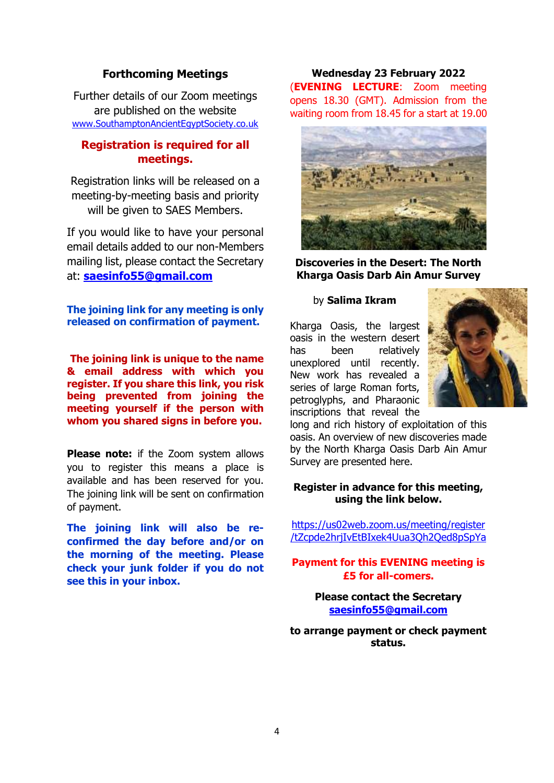# **Forthcoming Meetings**

Further details of our Zoom meetings are published on the website [www.SouthamptonAncientEgyptSociety.co.uk](http://www.southamptonancientegyptsociety.co.uk/)

# **Registration is required for all meetings.**

Registration links will be released on a meeting-by-meeting basis and priority will be given to SAES Members.

If you would like to have your personal email details added to our non-Members mailing list, please contact the Secretary at: **[saesinfo55@gmail.com](mailto:saesinfo55@gmail.com)**

**The joining link for any meeting is only released on confirmation of payment.**

**The joining link is unique to the name & email address with which you register. If you share this link, you risk being prevented from joining the meeting yourself if the person with whom you shared signs in before you.**

**Please note:** if the Zoom system allows you to register this means a place is available and has been reserved for you. The joining link will be sent on confirmation of payment.

**The joining link will also be reconfirmed the day before and/or on the morning of the meeting. Please check your junk folder if you do not see this in your inbox.**

## **Wednesday 23 February 2022** (**EVENING LECTURE**: Zoom meeting opens 18.30 (GMT). Admission from the waiting room from 18.45 for a start at 19.00



**Discoveries in the Desert: The North Kharga Oasis Darb Ain Amur Survey**

#### by **Salima Ikram**

Kharga Oasis, the largest oasis in the western desert has been relatively unexplored until recently. New work has revealed a series of large Roman forts, petroglyphs, and Pharaonic inscriptions that reveal the



long and rich history of exploitation of this oasis. An overview of new discoveries made by the North Kharga Oasis Darb Ain Amur Survey are presented here.

#### **Register in advance for this meeting, using the link below.**

[https://us02web.zoom.us/meeting/register](https://us02web.zoom.us/meeting/register/tZcpde2hrjIvEtBIxek4Uua3Qh2Qed8pSpYa) [/tZcpde2hrjIvEtBIxek4Uua3Qh2Qed8pSpYa](https://us02web.zoom.us/meeting/register/tZcpde2hrjIvEtBIxek4Uua3Qh2Qed8pSpYa)

**Payment for this EVENING meeting is £5 for all-comers.**

> **Please contact the Secretary [saesinfo55@gmail.com](mailto:saesinfo55@gmail.com)**

**to arrange payment or check payment status.**